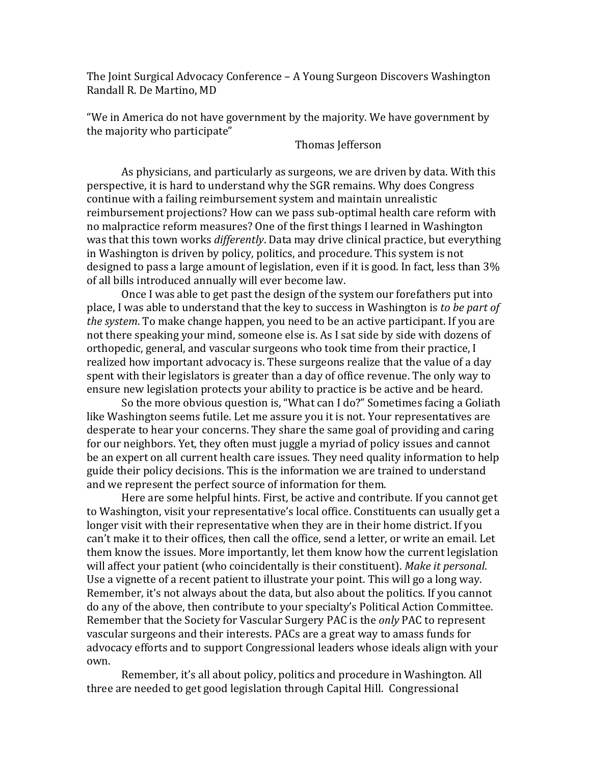The Joint Surgical Advocacy Conference – A Young Surgeon Discovers Washington Randall R. De Martino, MD

"We in America do not have government by the majority. We have government by the majority who participate"

Thomas Jefferson

As physicians, and particularly as surgeons, we are driven by data. With this perspective, it is hard to understand why the SGR remains. Why does Congress continue with a failing reimbursement system and maintain unrealistic reimbursement projections? How can we pass sub-optimal health care reform with no malpractice reform measures? One of the first things I learned in Washington was that this town works *differently*. Data may drive clinical practice, but everything in Washington is driven by policy, politics, and procedure. This system is not designed to pass a large amount of legislation, even if it is good. In fact, less than 3% of all bills introduced annually will ever become law.

Once I was able to get past the design of the system our forefathers put into place, I was able to understand that the key to success in Washington is *to be part of the system*. To make change happen, you need to be an active participant. If you are not there speaking your mind, someone else is. As I sat side by side with dozens of orthopedic, general, and vascular surgeons who took time from their practice, I realized how important advocacy is. These surgeons realize that the value of a day spent with their legislators is greater than a day of office revenue. The only way to ensure new legislation protects your ability to practice is be active and be heard.

So the more obvious question is, "What can I do?" Sometimes facing a Goliath like Washington seems futile. Let me assure you it is not. Your representatives are desperate to hear your concerns. They share the same goal of providing and caring for our neighbors. Yet, they often must juggle a myriad of policy issues and cannot be an expert on all current health care issues. They need quality information to help guide their policy decisions. This is the information we are trained to understand and we represent the perfect source of information for them.

Here are some helpful hints. First, be active and contribute. If you cannot get to Washington, visit your representative's local office. Constituents can usually get a longer visit with their representative when they are in their home district. If you can't make it to their offices, then call the office, send a letter, or write an email. Let them know the issues. More importantly, let them know how the current legislation will affect your patient (who coincidentally is their constituent). *Make it personal*. Use a vignette of a recent patient to illustrate your point. This will go a long way. Remember, it's not always about the data, but also about the politics. If you cannot do any of the above, then contribute to your specialty's Political Action Committee. Remember that the Society for Vascular Surgery PAC is the *only* PAC to represent vascular surgeons and their interests. PACs are a great way to amass funds for advocacy efforts and to support Congressional leaders whose ideals align with your own.

Remember, it's all about policy, politics and procedure in Washington. All three are needed to get good legislation through Capital Hill. Congressional